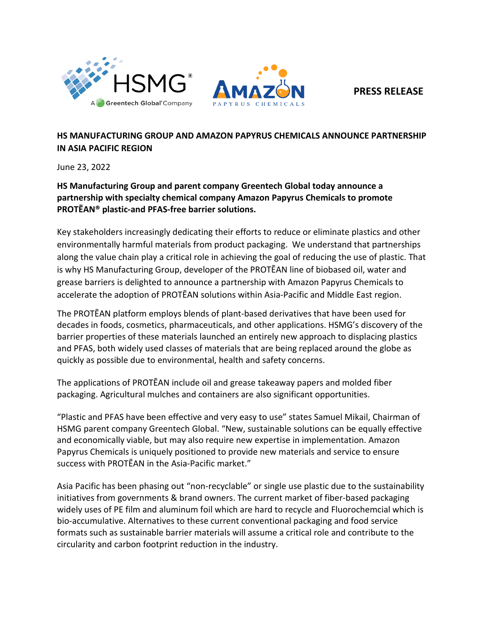

**PRESS RELEASE**

## **HS MANUFACTURING GROUP AND AMAZON PAPYRUS CHEMICALS ANNOUNCE PARTNERSHIP IN ASIA PACIFIC REGION**

June 23, 2022

**HS Manufacturing Group and parent company Greentech Global today announce a partnership with specialty chemical company Amazon Papyrus Chemicals to promote PROTĒAN® plastic-and PFAS-free barrier solutions.** 

Key stakeholders increasingly dedicating their efforts to reduce or eliminate plastics and other environmentally harmful materials from product packaging. We understand that partnerships along the value chain play a critical role in achieving the goal of reducing the use of plastic. That is why HS Manufacturing Group, developer of the PROTĒAN line of biobased oil, water and grease barriers is delighted to announce a partnership with Amazon Papyrus Chemicals to accelerate the adoption of PROTĒAN solutions within Asia-Pacific and Middle East region.

The PROTĒAN platform employs blends of plant-based derivatives that have been used for decades in foods, cosmetics, pharmaceuticals, and other applications. HSMG's discovery of the barrier properties of these materials launched an entirely new approach to displacing plastics and PFAS, both widely used classes of materials that are being replaced around the globe as quickly as possible due to environmental, health and safety concerns.

The applications of PROTĒAN include oil and grease takeaway papers and molded fiber packaging. Agricultural mulches and containers are also significant opportunities.

"Plastic and PFAS have been effective and very easy to use" states Samuel Mikail, Chairman of HSMG parent company Greentech Global. "New, sustainable solutions can be equally effective and economically viable, but may also require new expertise in implementation. Amazon Papyrus Chemicals is uniquely positioned to provide new materials and service to ensure success with PROTĒAN in the Asia-Pacific market."

Asia Pacific has been phasing out "non-recyclable" or single use plastic due to the sustainability initiatives from governments & brand owners. The current market of fiber-based packaging widely uses of PE film and aluminum foil which are hard to recycle and Fluorochemcial which is bio-accumulative. Alternatives to these current conventional packaging and food service formats such as sustainable barrier materials will assume a critical role and contribute to the circularity and carbon footprint reduction in the industry.